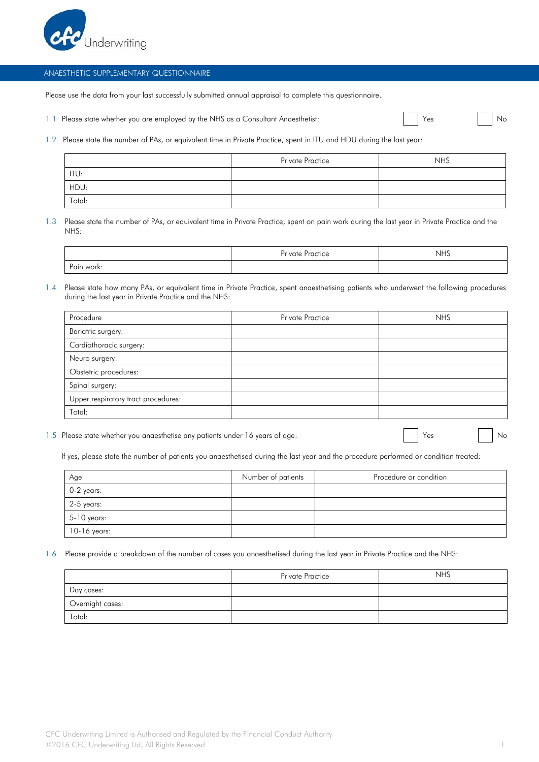

## ANAESTHETIC SUPPLEMENTARY QUESTIONNAIRE

Please use the data from your last successfully submitted annual appraisal to complete this questionnaire.

1.1 Please state whether you are employed by the NHS as a Consultant Anaesthetist:

| Y<br>ρς |
|---------|

1.2 Please state the number of PAs, or equivalent time in Private Practice, spent in ITU and HDU during the last year:

|        | <b>Private Practice</b> | <b>NHS</b> |
|--------|-------------------------|------------|
| ITU:   |                         |            |
| HDU:   |                         |            |
| Total: |                         |            |

1.3 Please state the number of PAs, or equivalent time in Private Practice, spent on pain work during the last year in Private Practice and the NHS:

|            | Private<br>CfICE | 11.1C<br>כחצו |
|------------|------------------|---------------|
| Pain work: |                  |               |

1.4 Please state how many PAs, or equivalent time in Private Practice, spent anaesthetising patients who underwent the following procedures during the last year in Private Practice and the NHS:

| Procedure                           | <b>Private Practice</b> | <b>NHS</b> |
|-------------------------------------|-------------------------|------------|
| Bariatric surgery:                  |                         |            |
| Cardiothoracic surgery:             |                         |            |
| Neuro surgery:                      |                         |            |
| Obstetric procedures:               |                         |            |
| Spinal surgery:                     |                         |            |
| Upper respiratory tract procedures: |                         |            |
| Total:                              |                         |            |

1.5 Please state whether you anaesthetise any patients under 16 years of age: No No No No No No No No No No No

If yes, please state the number of patients you anaesthetised during the last year and the procedure performed or condition treated:

| Age          | Number of patients | Procedure or condition |
|--------------|--------------------|------------------------|
| $0-2$ years: |                    |                        |
| $2-5$ years: |                    |                        |
| 5-10 years:  |                    |                        |
| 10-16 years: |                    |                        |

1.6 Please provide a breakdown of the number of cases you anaesthetised during the last year in Private Practice and the NHS:

|                  | Private Practice | <b>NHS</b> |
|------------------|------------------|------------|
| Day cases:       |                  |            |
| Overnight cases: |                  |            |
| Total:           |                  |            |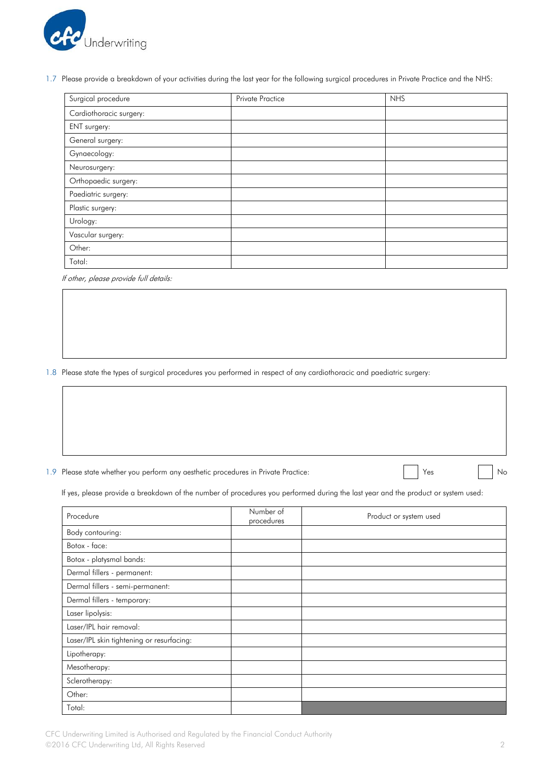

1.7 Please provide a breakdown of your activities during the last year for the following surgical procedures in Private Practice and the NHS:

| Surgical procedure      | <b>Private Practice</b> | <b>NHS</b> |
|-------------------------|-------------------------|------------|
| Cardiothoracic surgery: |                         |            |
| ENT surgery:            |                         |            |
| General surgery:        |                         |            |
| Gynaecology:            |                         |            |
| Neurosurgery:           |                         |            |
| Orthopaedic surgery:    |                         |            |
| Paediatric surgery:     |                         |            |
| Plastic surgery:        |                         |            |
| Urology:                |                         |            |
| Vascular surgery:       |                         |            |
| Other:                  |                         |            |
| Total:                  |                         |            |

If other, please provide full details:

1.8 Please state the types of surgical procedures you performed in respect of any cardiothoracic and paediatric surgery:

1.9 Please state whether you perform any aesthetic procedures in Private Practice: Yes No No No No No No No No

If yes, please provide a breakdown of the number of procedures you performed during the last year and the product or system used:

| Procedure                                 | Number of<br>procedures | Product or system used |
|-------------------------------------------|-------------------------|------------------------|
| Body contouring:                          |                         |                        |
| Botox - face:                             |                         |                        |
| Botox - platysmal bands:                  |                         |                        |
| Dermal fillers - permanent:               |                         |                        |
| Dermal fillers - semi-permanent:          |                         |                        |
| Dermal fillers - temporary:               |                         |                        |
| Laser lipolysis:                          |                         |                        |
| Laser/IPL hair removal:                   |                         |                        |
| Laser/IPL skin tightening or resurfacing: |                         |                        |
| Lipotherapy:                              |                         |                        |
| Mesotherapy:                              |                         |                        |
| Sclerotherapy:                            |                         |                        |
| Other:                                    |                         |                        |
| Total:                                    |                         |                        |